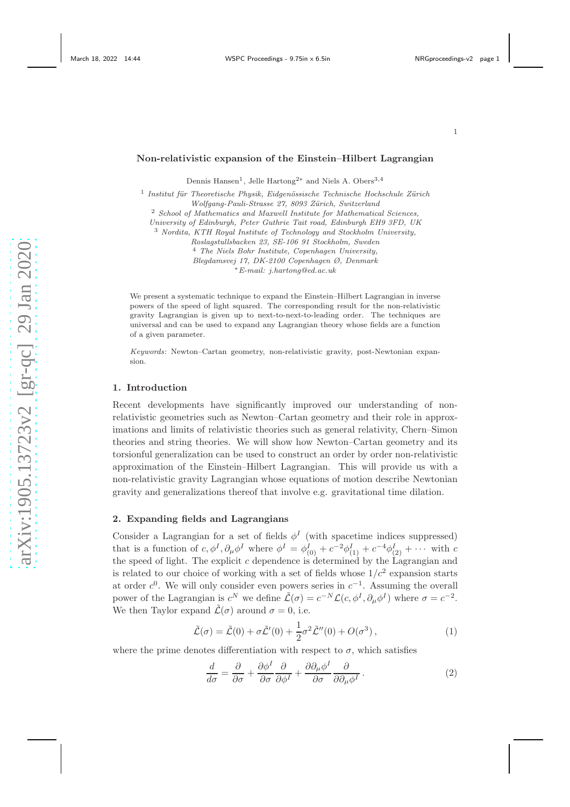#### Non-relativistic expansion of the Einstein–Hilbert Lagrangian

Dennis Hansen<sup>1</sup>, Jelle Hartong<sup>2∗</sup> and Niels A. Obers<sup>3,4</sup>

<sup>1</sup> Institut für Theoretische Physik, Eidgenössische Technische Hochschule Zürich *Wolfgang-Pauli-Strasse 27, 8093 Z¨urich, Switzerland* <sup>2</sup> *School of Mathematics and Maxwell Institute for Mathematical Sciences,*

*University of Edinburgh, Peter Guthrie Tait road, Edinburgh EH9 3FD, UK*

<sup>3</sup> *Nordita, KTH Royal Institute of Technology and Stockholm University,*

*Roslagstullsbacken 23, SE-106 91 Stockholm, Sweden*

<sup>4</sup> *The Niels Bohr Institute, Copenhagen University, Blegdamsvej 17, DK-2100 Copenhagen Ø, Denmark*

<sup>∗</sup>*E-mail: j.hartong@ed.ac.uk*

We present a systematic technique to expand the Einstein–Hilbert Lagrangian in inverse powers of the speed of light squared. The corresponding result for the non-relativistic gravity Lagrangian is given up to next-to-next-to-leading order. The techniques are universal and can be used to expand any Lagrangian theory whose fields are a function of a given parameter.

*Keywords*: Newton–Cartan geometry, non-relativistic gravity, post-Newtonian expansion.

### 1. Introduction

Recent developments have significantly improved our understanding of nonrelativistic geometries such as Newton–Cartan geometry and their role in approximations and limits of relativistic theories such as general relativity, Chern–Simon theories and string theories. We will show how Newton–Cartan geometry and its torsionful generalization can be used to construct an order by order non-relativistic approximation of the Einstein–Hilbert Lagrangian. This will provide us with a non-relativistic gravity Lagrangian whose equations of motion describe Newtonian gravity and generalizations thereof that involve e.g. gravitational time dilation.

# <span id="page-0-0"></span>2. Expanding fields and Lagrangians

Consider a Lagrangian for a set of fields  $\phi^I$  (with spacetime indices suppressed) that is a function of  $c, \phi^I, \partial_\mu \phi^I$  where  $\phi^I = \phi^I_{(0)} + c^{-2} \phi^I_{(1)} + c^{-4} \phi^I_{(2)} + \cdots$  with  $c$ the speed of light. The explicit c dependence is determined by the Lagrangian and is related to our choice of working with a set of fields whose  $1/c^2$  expansion starts at order  $c^0$ . We will only consider even powers series in  $c^{-1}$ . Assuming the overall power of the Lagrangian is  $c^N$  we define  $\tilde{\mathcal{L}}(\sigma) = c^{-N} \mathcal{L}(c, \phi^I, \partial_\mu \phi^I)$  where  $\sigma = c^{-2}$ . We then Taylor expand  $\tilde{\mathcal{L}}(\sigma)$  around  $\sigma = 0$ , i.e.

$$
\tilde{\mathcal{L}}(\sigma) = \tilde{\mathcal{L}}(0) + \sigma \tilde{\mathcal{L}}'(0) + \frac{1}{2} \sigma^2 \tilde{\mathcal{L}}''(0) + O(\sigma^3), \qquad (1)
$$

where the prime denotes differentiation with respect to  $\sigma$ , which satisfies

$$
\frac{d}{d\sigma} = \frac{\partial}{\partial \sigma} + \frac{\partial \phi^I}{\partial \sigma} \frac{\partial}{\partial \phi^I} + \frac{\partial \partial_\mu \phi^I}{\partial \sigma} \frac{\partial}{\partial \partial_\mu \phi^I}.
$$
\n(2)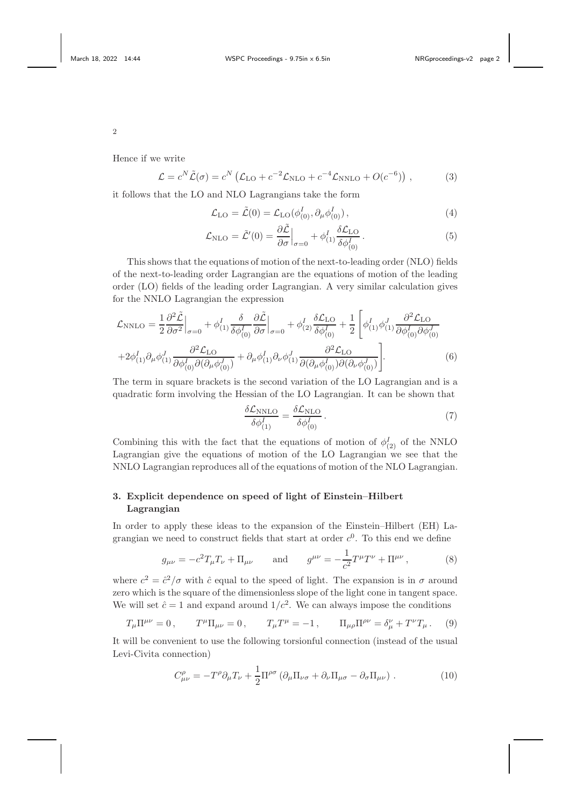Hence if we write

$$
\mathcal{L} = c^N \tilde{\mathcal{L}}(\sigma) = c^N \left( \mathcal{L}_{\text{LO}} + c^{-2} \mathcal{L}_{\text{NLO}} + c^{-4} \mathcal{L}_{\text{NNLO}} + O(c^{-6}) \right) ,\qquad (3)
$$

it follows that the LO and NLO Lagrangians take the form

<span id="page-1-1"></span>
$$
\mathcal{L}_{\text{LO}} = \tilde{\mathcal{L}}(0) = \mathcal{L}_{\text{LO}}(\phi_{(0)}^I, \partial_\mu \phi_{(0)}^I), \qquad (4)
$$

$$
\mathcal{L}_{\rm NLO} = \tilde{\mathcal{L}}'(0) = \frac{\partial \tilde{\mathcal{L}}}{\partial \sigma}\Big|_{\sigma=0} + \phi_{(1)}^I \frac{\delta \mathcal{L}_{\rm LO}}{\delta \phi_{(0)}^I} \,. \tag{5}
$$

This shows that the equations of motion of the next-to-leading order (NLO) fields of the next-to-leading order Lagrangian are the equations of motion of the leading order (LO) fields of the leading order Lagrangian. A very similar calculation gives for the NNLO Lagrangian the expression

<span id="page-1-2"></span>
$$
\mathcal{L}_{\text{NNLO}} = \frac{1}{2} \frac{\partial^2 \tilde{\mathcal{L}}}{\partial \sigma^2} \Big|_{\sigma=0} + \phi_{(1)}^I \frac{\delta}{\delta \phi_{(0)}^I} \frac{\partial \tilde{\mathcal{L}}}{\partial \sigma} \Big|_{\sigma=0} + \phi_{(2)}^I \frac{\delta \mathcal{L}_{\text{LO}}}{\delta \phi_{(0)}^I} + \frac{1}{2} \left[ \phi_{(1)}^I \phi_{(1)}^J \frac{\partial^2 \mathcal{L}_{\text{LO}}}{\partial \phi_{(0)}^I \partial \phi_{(0)}^J} + 2 \phi_{(1)}^I \partial \phi_{(1)}^J \frac{\partial^2 \mathcal{L}_{\text{LO}}}{\partial \phi_{(0)}^I \partial (\partial \mu \phi_{(0)}^J)} + \partial_\mu \phi_{(1)}^I \partial_\nu \phi_{(1)}^J \frac{\partial^2 \mathcal{L}_{\text{LO}}}{\partial (\partial \mu \phi_{(0)}^I) \partial (\partial \nu \phi_{(0)}^J)} \right].
$$
\n(6)

The term in square brackets is the second variation of the LO Lagrangian and is a quadratic form involving the Hessian of the LO Lagrangian. It can be shown that

$$
\frac{\delta \mathcal{L}_{\text{NNLO}}}{\delta \phi_{(1)}^I} = \frac{\delta \mathcal{L}_{\text{NLO}}}{\delta \phi_{(0)}^I} \,. \tag{7}
$$

Combining this with the fact that the equations of motion of  $\phi_{(2)}^I$  of the NNLO Lagrangian give the equations of motion of the LO Lagrangian we see that the NNLO Lagrangian reproduces all of the equations of motion of the NLO Lagrangian.

# 3. Explicit dependence on speed of light of Einstein–Hilbert Lagrangian

In order to apply these ideas to the expansion of the Einstein–Hilbert (EH) Lagrangian we need to construct fields that start at order  $c^0$ . To this end we define

<span id="page-1-0"></span>
$$
g_{\mu\nu} = -c^2 T_{\mu} T_{\nu} + \Pi_{\mu\nu}
$$
 and  $g^{\mu\nu} = -\frac{1}{c^2} T^{\mu} T^{\nu} + \Pi^{\mu\nu}$ , (8)

where  $c^2 = \frac{\partial^2}{\partial \sigma}$  with  $\hat{c}$  equal to the speed of light. The expansion is in  $\sigma$  around zero which is the square of the dimensionless slope of the light cone in tangent space. We will set  $\hat{c} = 1$  and expand around  $1/c^2$ . We can always impose the conditions

$$
T_{\mu}\Pi^{\mu\nu} = 0, \qquad T^{\mu}\Pi_{\mu\nu} = 0, \qquad T_{\mu}T^{\mu} = -1, \qquad \Pi_{\mu\rho}\Pi^{\rho\nu} = \delta^{\nu}_{\mu} + T^{\nu}T_{\mu}. \tag{9}
$$

It will be convenient to use the following torsionful connection (instead of the usual Levi-Civita connection)

$$
C^{\rho}_{\mu\nu} = -T^{\rho}\partial_{\mu}T_{\nu} + \frac{1}{2}\Pi^{\rho\sigma} \left(\partial_{\mu}\Pi_{\nu\sigma} + \partial_{\nu}\Pi_{\mu\sigma} - \partial_{\sigma}\Pi_{\mu\nu}\right). \tag{10}
$$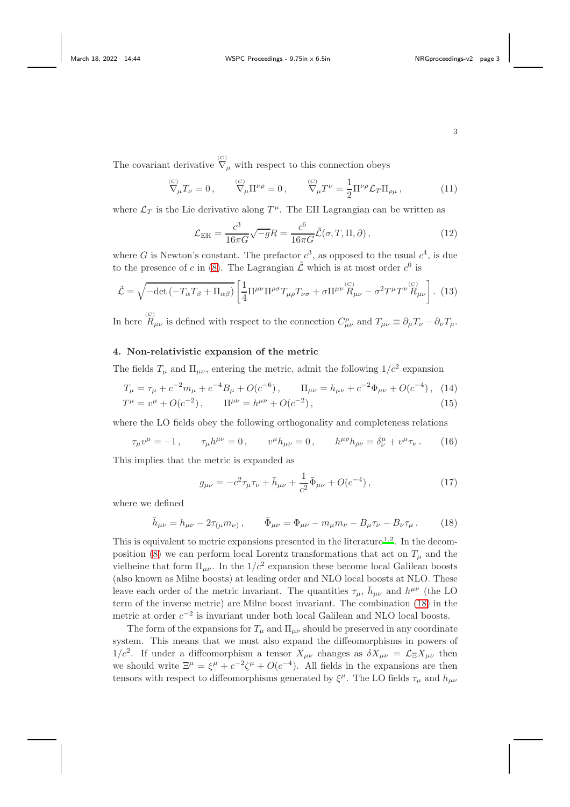The covariant derivative  $\overline{\nabla}_{\mu}$  with respect to this connection obeys

$$
\nabla_{\mu} T_{\nu} = 0, \qquad \nabla_{\mu} \Pi^{\nu \rho} = 0, \qquad \nabla_{\mu} T^{\nu} = \frac{1}{2} \Pi^{\nu \rho} \mathcal{L}_{T} \Pi_{\rho \mu}, \qquad (11)
$$

where  $\mathcal{L}_T$  is the Lie derivative along  $T^{\mu}$ . The EH Lagrangian can be written as

$$
\mathcal{L}_{\rm EH} = \frac{c^3}{16\pi G} \sqrt{-g} R = \frac{c^6}{16\pi G} \tilde{\mathcal{L}}(\sigma, T, \Pi, \partial), \qquad (12)
$$

where G is Newton's constant. The prefactor  $c^3$ , as opposed to the usual  $c^4$ , is due to the presence of c in [\(8\)](#page-1-0). The Lagrangian  $\tilde{\mathcal{L}}$  which is at most order  $c^0$  is

<span id="page-2-1"></span>
$$
\tilde{\mathcal{L}} = \sqrt{-\det(-T_{\alpha}T_{\beta} + \Pi_{\alpha\beta})} \left[ \frac{1}{4} \Pi^{\mu\nu} \Pi^{\rho\sigma} T_{\mu\rho} T_{\nu\sigma} + \sigma \Pi^{\mu\nu} \overset{(C)}{R}_{\mu\nu} - \sigma^2 T^{\mu} T^{\nu} \overset{(C)}{R}_{\mu\nu} \right]. \tag{13}
$$

In here  $R_{\mu\nu}$  is defined with respect to the connection  $C_{\mu\nu}^{\rho}$  and  $T_{\mu\nu} \equiv \partial_{\mu}T_{\nu} - \partial_{\nu}T_{\mu}$ .

# 4. Non-relativistic expansion of the metric

The fields  $T_{\mu}$  and  $\Pi_{\mu\nu}$ , entering the metric, admit the following  $1/c^2$  expansion

$$
T_{\mu} = \tau_{\mu} + c^{-2}m_{\mu} + c^{-4}B_{\mu} + O(c^{-6}), \qquad \Pi_{\mu\nu} = h_{\mu\nu} + c^{-2}\Phi_{\mu\nu} + O(c^{-4}), \quad (14)
$$
  
\n
$$
T^{\mu} = v^{\mu} + O(c^{-2}), \qquad \Pi^{\mu\nu} = h^{\mu\nu} + O(c^{-2}), \qquad (15)
$$

where the LO fields obey the following orthogonality and completeness relations

$$
\tau_{\mu}v^{\mu} = -1, \qquad \tau_{\mu}h^{\mu\nu} = 0, \qquad v^{\mu}h_{\mu\nu} = 0, \qquad h^{\mu\rho}h_{\rho\nu} = \delta^{\mu}_{\nu} + v^{\mu}\tau_{\nu}. \tag{16}
$$

This implies that the metric is expanded as

$$
g_{\mu\nu} = -c^2 \tau_{\mu} \tau_{\nu} + \bar{h}_{\mu\nu} + \frac{1}{c^2} \bar{\Phi}_{\mu\nu} + O(c^{-4}), \qquad (17)
$$

where we defined

<span id="page-2-0"></span>
$$
\bar{h}_{\mu\nu} = h_{\mu\nu} - 2\tau_{(\mu} m_{\nu)}, \qquad \bar{\Phi}_{\mu\nu} = \Phi_{\mu\nu} - m_{\mu} m_{\nu} - B_{\mu} \tau_{\nu} - B_{\nu} \tau_{\mu}. \tag{18}
$$

This is equivalent to metric expansions presented in the literature<sup>[1](#page-5-0)[,2](#page-5-1)</sup>. In the decom-position [\(8\)](#page-1-0) we can perform local Lorentz transformations that act on  $T_u$  and the vielbeine that form  $\Pi_{\mu\nu}$ . In the  $1/c^2$  expansion these become local Galilean boosts (also known as Milne boosts) at leading order and NLO local boosts at NLO. These leave each order of the metric invariant. The quantities  $\tau_{\mu}$ ,  $\bar{h}_{\mu\nu}$  and  $h^{\mu\nu}$  (the LO term of the inverse metric) are Milne boost invariant. The combination [\(18\)](#page-2-0) in the metric at order  $c^{-2}$  is invariant under both local Galilean and NLO local boosts.

The form of the expansions for  $T_{\mu}$  and  $\Pi_{\mu\nu}$  should be preserved in any coordinate system. This means that we must also expand the diffeomorphisms in powers of  $1/c^2$ . If under a diffeomorphism a tensor  $X_{\mu\nu}$  changes as  $\delta X_{\mu\nu} = \mathcal{L}_{\Xi} X_{\mu\nu}$  then we should write  $\Xi^{\mu} = \xi^{\mu} + c^{-2}\zeta^{\mu} + O(c^{-4})$ . All fields in the expansions are then tensors with respect to diffeomorphisms generated by  $\xi^{\mu}$ . The LO fields  $\tau_{\mu}$  and  $h_{\mu\nu}$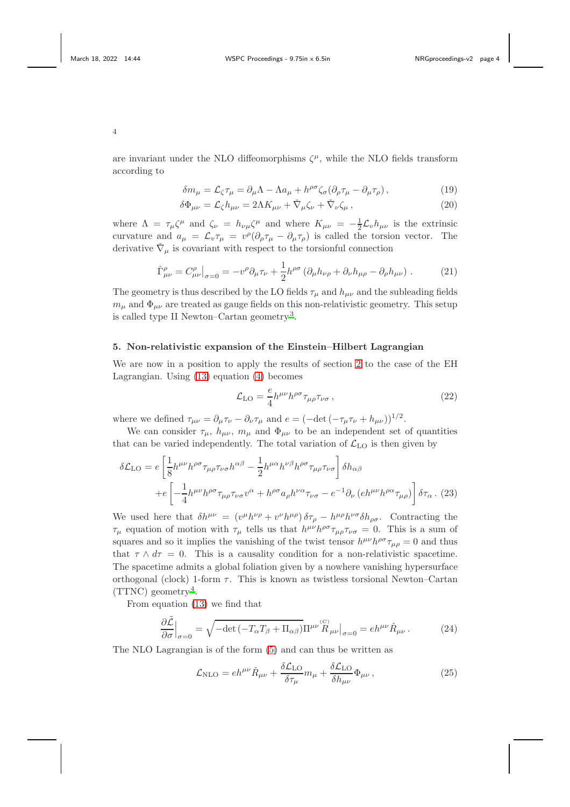are invariant under the NLO diffeomorphisms  $\zeta^{\mu}$ , while the NLO fields transform according to

$$
\delta m_{\mu} = \mathcal{L}_{\zeta} \tau_{\mu} = \partial_{\mu} \Lambda - \Lambda a_{\mu} + h^{\rho \sigma} \zeta_{\sigma} (\partial_{\rho} \tau_{\mu} - \partial_{\mu} \tau_{\rho}), \qquad (19)
$$

$$
\delta\Phi_{\mu\nu} = \mathcal{L}_{\zeta}h_{\mu\nu} = 2\Lambda K_{\mu\nu} + \check{\nabla}_{\mu}\zeta_{\nu} + \check{\nabla}_{\nu}\zeta_{\mu},\qquad(20)
$$

where  $\Lambda = \tau_{\mu} \zeta^{\mu}$  and  $\zeta_{\nu} = h_{\nu\mu} \zeta^{\mu}$  and where  $K_{\mu\nu} = -\frac{1}{2} \mathcal{L}_{\nu} h_{\mu\nu}$  is the extrinsic curvature and  $a_{\mu} = \mathcal{L}_{v} \tau_{\mu} = v^{\rho} (\partial_{\rho} \tau_{\mu} - \partial_{\mu} \tau_{\rho})$  is called the torsion vector. The derivative  $\check{\nabla}_{\mu}$  is covariant with respect to the torsionful connection

<span id="page-3-0"></span>
$$
\check{\Gamma}^{\rho}_{\mu\nu} = C^{\rho}_{\mu\nu}\big|_{\sigma=0} = -v^{\rho}\partial_{\mu}\tau_{\nu} + \frac{1}{2}h^{\rho\sigma}\left(\partial_{\mu}h_{\nu\rho} + \partial_{\nu}h_{\mu\rho} - \partial_{\rho}h_{\mu\nu}\right). \tag{21}
$$

The geometry is thus described by the LO fields  $\tau_{\mu}$  and  $h_{\mu\nu}$  and the subleading fields  $m_{\mu}$  and  $\Phi_{\mu\nu}$  are treated as gauge fields on this non-relativistic geometry. This setup is called type II Newton–Cartan geometry<sup>[3](#page-5-2)</sup>.

# 5. Non-relativistic expansion of the Einstein–Hilbert Lagrangian

We are now in a position to apply the results of section [2](#page-0-0) to the case of the EH Lagrangian. Using [\(13\)](#page-2-1) equation [\(4\)](#page-1-1) becomes

$$
\mathcal{L}_{\text{LO}} = \frac{e}{4} h^{\mu\nu} h^{\rho\sigma} \tau_{\mu\rho} \tau_{\nu\sigma} , \qquad (22)
$$

where we defined  $\tau_{\mu\nu} = \partial_{\mu}\tau_{\nu} - \partial_{\nu}\tau_{\mu}$  and  $e = (-\det(-\tau_{\mu}\tau_{\nu} + h_{\mu\nu}))^{1/2}$ .

We can consider  $\tau_{\mu}$ ,  $h_{\mu\nu}$ ,  $m_{\mu}$  and  $\Phi_{\mu\nu}$  to be an independent set of quantities that can be varied independently. The total variation of  $\mathcal{L}_{\text{LO}}$  is then given by

$$
\delta\mathcal{L}_{LO} = e \left[ \frac{1}{8} h^{\mu\nu} h^{\rho\sigma} \tau_{\mu\rho} \tau_{\nu\sigma} h^{\alpha\beta} - \frac{1}{2} h^{\mu\alpha} h^{\nu\beta} h^{\rho\sigma} \tau_{\mu\rho} \tau_{\nu\sigma} \right] \delta h_{\alpha\beta}
$$

$$
+ e \left[ -\frac{1}{4} h^{\mu\nu} h^{\rho\sigma} \tau_{\mu\rho} \tau_{\nu\sigma} v^{\alpha} + h^{\rho\sigma} a_{\rho} h^{\nu\alpha} \tau_{\nu\sigma} - e^{-1} \partial_{\nu} \left( e h^{\mu\nu} h^{\rho\alpha} \tau_{\mu\rho} \right) \right] \delta \tau_{\alpha} . (23)
$$

We used here that  $\delta h^{\mu\nu} = (v^{\mu}h^{\nu\rho} + v^{\nu}h^{\mu\rho})\,\delta\tau_{\rho} - h^{\mu\rho}h^{\nu\sigma}\delta h_{\rho\sigma}$ . Contracting the  $\tau_\mu$  equation of motion with  $\tau_\mu$  tells us that  $h^{\mu\nu}h^{\rho\sigma}\tau_{\mu\rho}\tau_{\nu\sigma} = 0$ . This is a sum of squares and so it implies the vanishing of the twist tensor  $h^{\mu\nu}h^{\rho\sigma}\tau_{\mu\rho} = 0$  and thus that  $\tau \wedge d\tau = 0$ . This is a causality condition for a non-relativistic spacetime. The spacetime admits a global foliation given by a nowhere vanishing hypersurface orthogonal (clock) 1-form  $\tau$ . This is known as twistless torsional Newton–Cartan  $(TTNC)$  geometry<sup>[4](#page-5-3)</sup>.

From equation [\(13\)](#page-2-1) we find that

$$
\frac{\partial \tilde{\mathcal{L}}}{\partial \sigma}\Big|_{\sigma=0} = \sqrt{-\det(-T_{\alpha}T_{\beta} + \Pi_{\alpha\beta})\Pi^{\mu\nu} \mathcal{L}^{(C)}_{R\,\mu\nu}}\Big|_{\sigma=0} = eh^{\mu\nu} \check{R}_{\mu\nu} \,. \tag{24}
$$

The NLO Lagrangian is of the form [\(5\)](#page-1-1) and can thus be written as

<span id="page-3-1"></span>
$$
\mathcal{L}_{\rm NLO} = e h^{\mu\nu} \check{R}_{\mu\nu} + \frac{\delta \mathcal{L}_{\rm LO}}{\delta \tau_{\mu}} m_{\mu} + \frac{\delta \mathcal{L}_{\rm LO}}{\delta h_{\mu\nu}} \Phi_{\mu\nu} , \qquad (25)
$$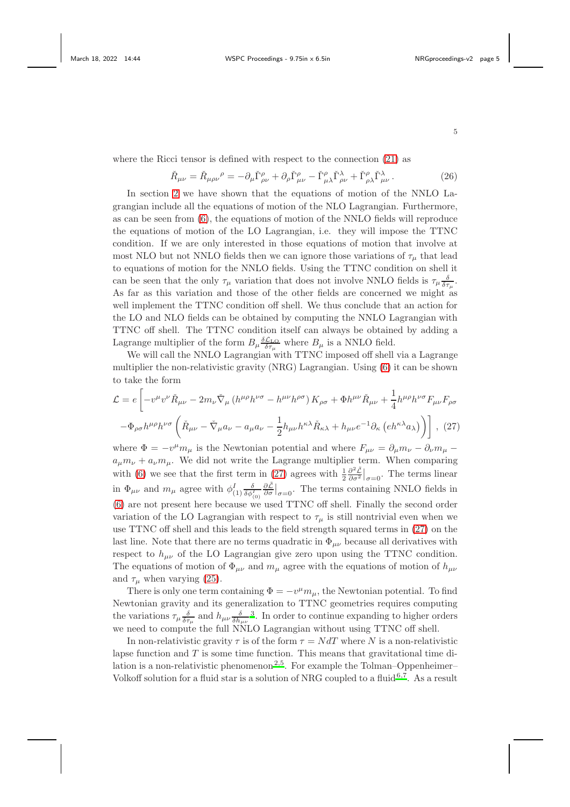where the Ricci tensor is defined with respect to the connection [\(21\)](#page-3-0) as

$$
\check{R}_{\mu\nu} = \check{R}_{\mu\rho\nu}{}^{\rho} = -\partial_{\mu}\check{\Gamma}^{\rho}_{\rho\nu} + \partial_{\rho}\check{\Gamma}^{\rho}_{\mu\nu} - \check{\Gamma}^{\rho}_{\mu\lambda}\check{\Gamma}^{\lambda}_{\rho\nu} + \check{\Gamma}^{\rho}_{\rho\lambda}\check{\Gamma}^{\lambda}_{\mu\nu}.
$$
\n(26)

In section [2](#page-0-0) we have shown that the equations of motion of the NNLO Lagrangian include all the equations of motion of the NLO Lagrangian. Furthermore, as can be seen from [\(6\)](#page-1-2), the equations of motion of the NNLO fields will reproduce the equations of motion of the LO Lagrangian, i.e. they will impose the TTNC condition. If we are only interested in those equations of motion that involve at most NLO but not NNLO fields then we can ignore those variations of  $\tau_{\mu}$  that lead to equations of motion for the NNLO fields. Using the TTNC condition on shell it can be seen that the only  $\tau_{\mu}$  variation that does not involve NNLO fields is  $\tau_{\mu} \frac{\delta}{\delta \tau_{\mu}}$ . As far as this variation and those of the other fields are concerned we might as well implement the TTNC condition off shell. We thus conclude that an action for the LO and NLO fields can be obtained by computing the NNLO Lagrangian with TTNC off shell. The TTNC condition itself can always be obtained by adding a Lagrange multiplier of the form  $B_{\mu} \frac{\delta \mathcal{L}_{LO}}{\delta \tau_{\mu}}$  where  $B_{\mu}$  is a NNLO field.

We will call the NNLO Lagrangian with TTNC imposed off shell via a Lagrange multiplier the non-relativistic gravity (NRG) Lagrangian. Using [\(6\)](#page-1-2) it can be shown to take the form

<span id="page-4-0"></span>
$$
\mathcal{L} = e \left[ -v^{\mu} v^{\nu} \tilde{R}_{\mu\nu} - 2m_{\nu} \tilde{\nabla}_{\mu} \left( h^{\mu\rho} h^{\nu\sigma} - h^{\mu\nu} h^{\rho\sigma} \right) K_{\rho\sigma} + \Phi h^{\mu\nu} \tilde{R}_{\mu\nu} + \frac{1}{4} h^{\mu\rho} h^{\nu\sigma} F_{\mu\nu} F_{\rho\sigma} \right]
$$

$$
- \Phi_{\rho\sigma} h^{\mu\rho} h^{\nu\sigma} \left( \tilde{R}_{\mu\nu} - \tilde{\nabla}_{\mu} a_{\nu} - a_{\mu} a_{\nu} - \frac{1}{2} h_{\mu\nu} h^{\kappa\lambda} \tilde{R}_{\kappa\lambda} + h_{\mu\nu} e^{-1} \partial_{\kappa} \left( e h^{\kappa\lambda} a_{\lambda} \right) \right) \right], (27)
$$

where  $\Phi = -v^{\mu}m_{\mu}$  is the Newtonian potential and where  $F_{\mu\nu} = \partial_{\mu}m_{\nu} - \partial_{\nu}m_{\mu}$  $a_{\mu}m_{\nu} + a_{\nu}m_{\mu}$ . We did not write the Lagrange multiplier term. When comparing with [\(6\)](#page-1-2) we see that the first term in [\(27\)](#page-4-0) agrees with  $\frac{1}{2} \frac{\partial^2 \tilde{\mathcal{L}}}{\partial \sigma^2}$  $\frac{\partial^2 \mathcal{L}}{\partial \sigma^2}\Big|_{\sigma=0}$ . The terms linear in  $\Phi_{\mu\nu}$  and  $m_{\mu}$  agree with  $\phi_{(1)}^{I} \frac{\delta}{\delta \phi_{(0)}^{I}}$  $\frac{\partial \tilde{\mathcal{L}}}{\partial \sigma}\Big|_{\sigma=0}$ . The terms containing NNLO fields in [\(6\)](#page-1-2) are not present here because we used TTNC off shell. Finally the second order variation of the LO Lagrangian with respect to  $\tau_{\mu}$  is still nontrivial even when we use TTNC off shell and this leads to the field strength squared terms in [\(27\)](#page-4-0) on the last line. Note that there are no terms quadratic in  $\Phi_{\mu\nu}$  because all derivatives with respect to  $h_{\mu\nu}$  of the LO Lagrangian give zero upon using the TTNC condition. The equations of motion of  $\Phi_{\mu\nu}$  and  $m_{\mu}$  agree with the equations of motion of  $h_{\mu\nu}$ and  $\tau_{\mu}$  when varying [\(25\)](#page-3-1).

There is only one term containing  $\Phi = -v^{\mu}m_{\mu}$ , the Newtonian potential. To find Newtonian gravity and its generalization to TTNC geometries requires computing the variations  $\tau_{\mu} \frac{\delta}{\delta \tau_{\mu}}$  and  $h_{\mu\nu} \frac{\delta}{\delta h_{\mu\nu}}$ <sup>[3](#page-5-2)</sup>. In order to continue expanding to higher orders we need to compute the full NNLO Lagrangian without using TTNC off shell.

In non-relativistic gravity  $\tau$  is of the form  $\tau = NdT$  where N is a non-relativistic lapse function and  $T$  is some time function. This means that gravitational time di-lation is a non-relativistic phenomenon<sup>[2](#page-5-1)[,5](#page-5-4)</sup>. For example the Tolman–Oppenheimer– Volkoff solution for a fluid star is a solution of NRG coupled to a fluid<sup>[6](#page-5-5)[,7](#page-5-6)</sup>. As a result